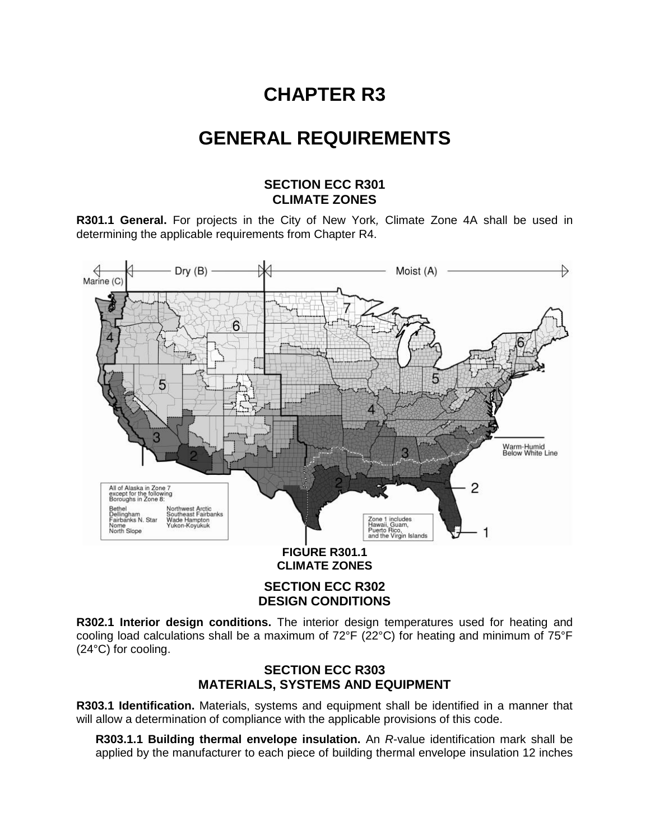# **CHAPTER R3**

# **GENERAL REQUIREMENTS**

### **SECTION ECC R301 CLIMATE ZONES**

**R301.1 General.** For projects in the City of New York*,* Climate Zone 4A shall be used in determining the applicable requirements from Chapter R4.



**CLIMATE ZONES**

**SECTION ECC R302 DESIGN CONDITIONS**

**R302.1 Interior design conditions.** The interior design temperatures used for heating and cooling load calculations shall be a maximum of 72°F (22°C) for heating and minimum of 75°F (24°C) for cooling.

## **SECTION ECC R303 MATERIALS, SYSTEMS AND EQUIPMENT**

**R303.1 Identification.** Materials, systems and equipment shall be identified in a manner that will allow a determination of compliance with the applicable provisions of this code.

**R303.1.1 Building thermal envelope insulation.** An *R*-value identification mark shall be applied by the manufacturer to each piece of building thermal envelope insulation 12 inches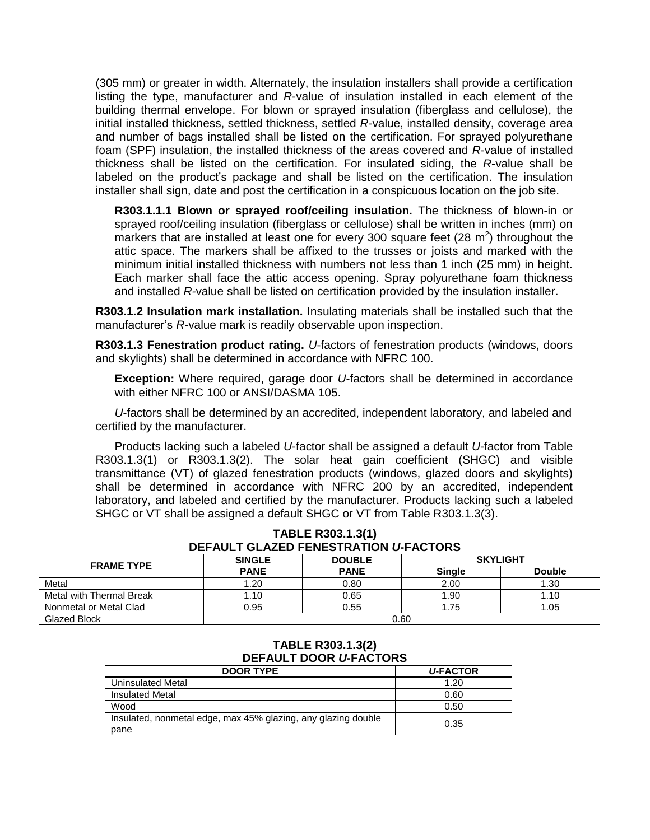(305 mm) or greater in width. Alternately, the insulation installers shall provide a certification listing the type, manufacturer and *R*-value of insulation installed in each element of the building thermal envelope. For blown or sprayed insulation (fiberglass and cellulose), the initial installed thickness, settled thickness, settled *R*-value, installed density, coverage area and number of bags installed shall be listed on the certification. For sprayed polyurethane foam (SPF) insulation, the installed thickness of the areas covered and *R*-value of installed thickness shall be listed on the certification. For insulated siding, the *R*-value shall be labeled on the product's package and shall be listed on the certification. The insulation installer shall sign, date and post the certification in a conspicuous location on the job site.

**R303.1.1.1 Blown or sprayed roof/ceiling insulation.** The thickness of blown-in or sprayed roof/ceiling insulation (fiberglass or cellulose) shall be written in inches (mm) on markers that are installed at least one for every 300 square feet (28  $m^2$ ) throughout the attic space. The markers shall be affixed to the trusses or joists and marked with the minimum initial installed thickness with numbers not less than 1 inch (25 mm) in height. Each marker shall face the attic access opening. Spray polyurethane foam thickness and installed *R-*value shall be listed on certification provided by the insulation installer.

**R303.1.2 Insulation mark installation.** Insulating materials shall be installed such that the manufacturer's *R*-value mark is readily observable upon inspection.

**R303.1.3 Fenestration product rating.** *U*-factors of fenestration products (windows, doors and skylights) shall be determined in accordance with NFRC 100.

**Exception:** Where required, garage door *U*-factors shall be determined in accordance with either NFRC 100 or ANSI/DASMA 105.

*U*-factors shall be determined by an accredited, independent laboratory, and labeled and certified by the manufacturer.

Products lacking such a labeled *U*-factor shall be assigned a default *U*-factor from Table R303.1.3(1) or R303.1.3(2). The solar heat gain coefficient (SHGC) and visible transmittance (VT) of glazed fenestration products (windows, glazed doors and skylights) shall be determined in accordance with NFRC 200 by an accredited, independent laboratory, and labeled and certified by the manufacturer. Products lacking such a labeled SHGC or VT shall be assigned a default SHGC or VT from Table R303.1.3(3).

| DEFAULI GLAZED FENESTRATION O-FACTORS |               |               |                 |               |  |  |  |
|---------------------------------------|---------------|---------------|-----------------|---------------|--|--|--|
| <b>FRAME TYPE</b>                     | <b>SINGLE</b> | <b>DOUBLE</b> | <b>SKYLIGHT</b> |               |  |  |  |
|                                       | <b>PANE</b>   | <b>PANE</b>   | <b>Single</b>   | <b>Double</b> |  |  |  |
| Metal                                 | 1.20          | 0.80          | 2.00            | 1.30          |  |  |  |
| Metal with Thermal Break              | 1.10          | 0.65          | 1.90            | 1.10          |  |  |  |
| Nonmetal or Metal Clad                | 0.95          | 0.55          | 1.75            | 1.05          |  |  |  |
| Glazed Block                          |               | 0.60          |                 |               |  |  |  |

### **TABLE R303.1.3(1) DEFAULT GLAZED FENESTRATION** *U***-FACTORS**

#### **TABLE R303.1.3(2) DEFAULT DOOR** *U***-FACTORS**

| <b>DOOR TYPE</b>                                                      | <b>U-FACTOR</b> |
|-----------------------------------------------------------------------|-----------------|
| Uninsulated Metal                                                     | 1.20            |
| <b>Insulated Metal</b>                                                | 0.60            |
| Wood                                                                  | 0.50            |
| Insulated, nonmetal edge, max 45% glazing, any glazing double<br>pane | 0.35            |